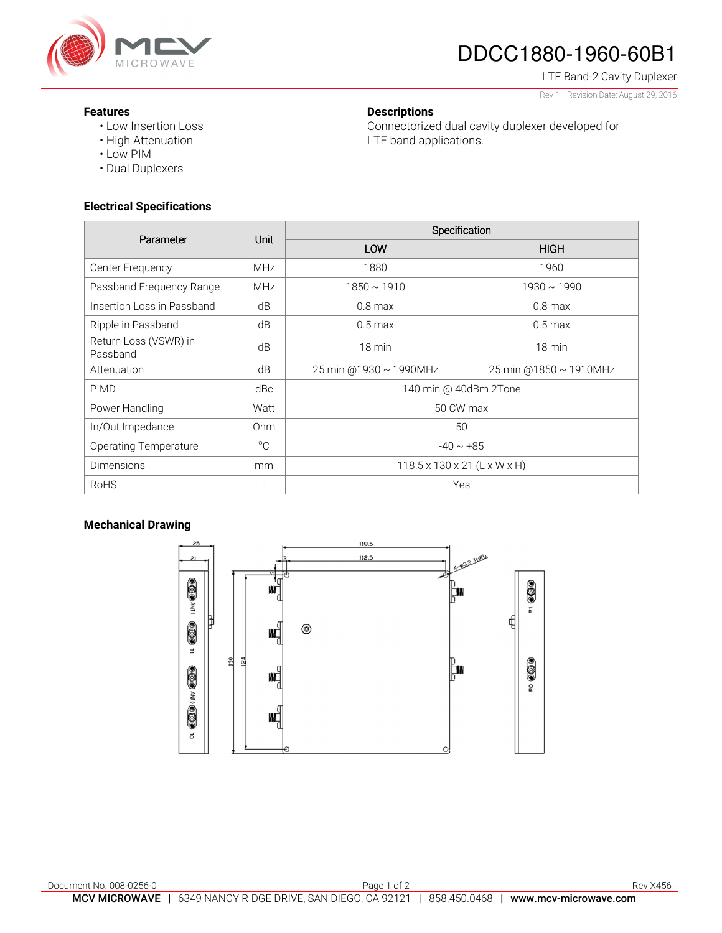

# DDCC1880-1960-60B1

Connectorized dual cavity duplexer developed for

LTE Band-2 Cavity Duplexer Rev 1– Revision Date: August 29, 2016

#### **Features**

- Low Insertion Loss
- High Attenuation
- Low PIM
- Dual Duplexers

## **Electrical Specifications**

| Parameter                         | <b>Unit</b> | Specification                            |                        |
|-----------------------------------|-------------|------------------------------------------|------------------------|
|                                   |             | LOW                                      | <b>HIGH</b>            |
| Center Frequency                  | <b>MHz</b>  | 1880                                     | 1960                   |
| Passband Frequency Range          | <b>MHz</b>  | $1850 \sim 1910$                         | $1930 \sim 1990$       |
| Insertion Loss in Passband        | dB          | $0.8$ max                                | $0.8$ max              |
| Ripple in Passband                | dB          | $0.5$ max                                | $0.5$ max              |
| Return Loss (VSWR) in<br>Passband | dB          | 18 min                                   | $18 \text{ min}$       |
| Attenuation                       | dB          | 25 min @1930 ~ 1990MHz                   | 25 min @1850 ~ 1910MHz |
| <b>PIMD</b>                       | dBc         | 140 min @ 40dBm 2Tone                    |                        |
| Power Handling                    | Watt        | 50 CW max                                |                        |
| In/Out Impedance                  | Ohm         | 50                                       |                        |
| <b>Operating Temperature</b>      | $^{\circ}C$ | $-40 \sim +85$                           |                        |
| <b>Dimensions</b>                 | mm          | $118.5 \times 130 \times 21$ (L x W x H) |                        |
| <b>RoHS</b>                       |             | Yes                                      |                        |

**Descriptions** 

LTE band applications.

## **Mechanical Drawing**